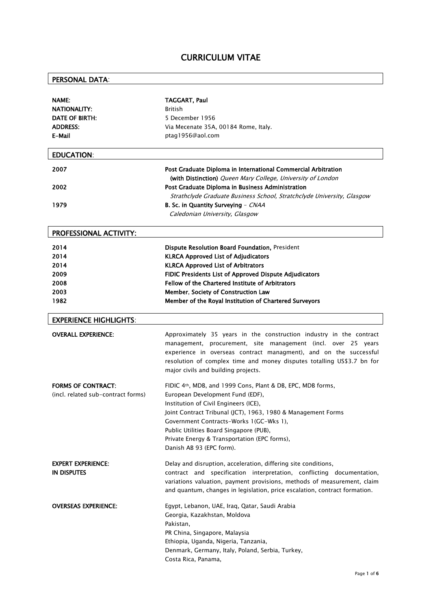## CURRICULUM VITAE

# PERSONAL DATA:

| <b>NAME:</b><br>NATIONALITY:<br><b>DATE OF BIRTH:</b><br><b>ADDRESS:</b><br>E-Mail | TAGGART, Paul<br><b>British</b><br>5 December 1956<br>Via Mecenate 35A, 00184 Rome, Italy.<br>ptag1956@aol.com                                                                                                                                                                                                                                                            |
|------------------------------------------------------------------------------------|---------------------------------------------------------------------------------------------------------------------------------------------------------------------------------------------------------------------------------------------------------------------------------------------------------------------------------------------------------------------------|
| <b>EDUCATION:</b>                                                                  |                                                                                                                                                                                                                                                                                                                                                                           |
| 2007                                                                               | Post Graduate Diploma in International Commercial Arbitration                                                                                                                                                                                                                                                                                                             |
| 2002                                                                               | (with Distinction) Queen Mary College, University of London<br>Post Graduate Diploma in Business Administration<br>Strathclyde Graduate Business School, Stratchclyde University, Glasgow                                                                                                                                                                                 |
| 1979                                                                               | B. Sc. in Quantity Surveying - CNAA<br>Caledonian University, Glasgow                                                                                                                                                                                                                                                                                                     |
| PROFESSIONAL ACTIVITY:                                                             |                                                                                                                                                                                                                                                                                                                                                                           |
| 2014<br>2014<br>2014                                                               | Dispute Resolution Board Foundation, President<br><b>KLRCA Approved List of Adjudicators</b><br><b>KLRCA Approved List of Arbitrators</b>                                                                                                                                                                                                                                 |
| 2009                                                                               | FIDIC Presidents List of Approved Dispute Adjudicators                                                                                                                                                                                                                                                                                                                    |
| 2008                                                                               | Fellow of the Chartered Institute of Arbitrators                                                                                                                                                                                                                                                                                                                          |
| 2003                                                                               | Member, Society of Construction Law                                                                                                                                                                                                                                                                                                                                       |
| 1982                                                                               | Member of the Royal Institution of Chartered Surveyors                                                                                                                                                                                                                                                                                                                    |
| <b>EXPERIENCE HIGHLIGHTS:</b>                                                      |                                                                                                                                                                                                                                                                                                                                                                           |
| <b>OVERALL EXPERIENCE:</b>                                                         | Approximately 35 years in the construction industry in the contract<br>management, procurement, site management (incl. over 25 years<br>experience in overseas contract managment), and on the successful<br>resolution of complex time and money disputes totalling US\$3.7 bn for<br>major civils and building projects.                                                |
| <b>FORMS OF CONTRACT:</b><br>(incl. related sub-contract forms)                    | FIDIC 4th, MDB, and 1999 Cons, Plant & DB, EPC, MDB forms,<br>European Development Fund (EDF),<br>Institution of Civil Engineers (ICE),<br>Joint Contract Tribunal (JCT), 1963, 1980 & Management Forms<br>Government Contracts-Works 1(GC-Wks 1),<br>Public Utilities Board Singapore (PUB),<br>Private Energy & Transportation (EPC forms),<br>Danish AB 93 (EPC form). |
| <b>EXPERT EXPERIENCE:</b><br><b>IN DISPUTES</b>                                    | Delay and disruption, acceleration, differing site conditions,<br>contract and specification interpretation, conflicting documentation,<br>variations valuation, payment provisions, methods of measurement, claim<br>and quantum, changes in legislation, price escalation, contract formation.                                                                          |
| <b>OVERSEAS EXPERIENCE:</b>                                                        | Egypt, Lebanon, UAE, Iraq, Qatar, Saudi Arabia<br>Georgia, Kazakhstan, Moldova<br>Pakistan,<br>PR China, Singapore, Malaysia<br>Ethiopia, Uganda, Nigeria, Tanzania,<br>Denmark, Germany, Italy, Poland, Serbia, Turkey,<br>Costa Rica, Panama,                                                                                                                           |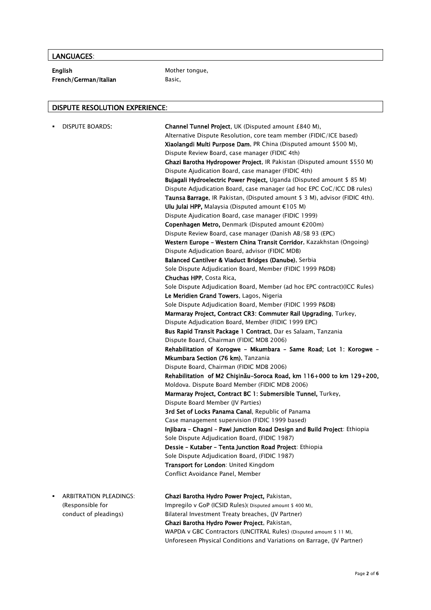### LANGUAGES:

English Mother tongue, French/German/Italian Basic,

### DISPUTE RESOLUTION EXPERIENCE:

| <b>DISPUTE BOARDS:</b><br>٠        | <b>Channel Tunnel Project, UK (Disputed amount £840 M),</b><br>Alternative Dispute Resolution, core team member (FIDIC/ICE based)<br>Xiaolangdi Multi Purpose Dam, PR China (Disputed amount \$500 M),<br>Dispute Review Board, case manager (FIDIC 4th)<br>Ghazi Barotha Hydropower Project, IR Pakistan (Disputed amount \$550 M)<br>Dispute Ajudication Board, case manager (FIDIC 4th)<br>Bujagali Hydroelectric Power Project, Uganda (Disputed amount \$ 85 M)<br>Dispute Adjudication Board, case manager (ad hoc EPC CoC/ICC DB rules)<br>Taunsa Barrage, IR Pakistan, (Disputed amount \$ 3 M), advisor (FIDIC 4th).<br>Ulu Julai HPP, Malaysia (Disputed amount $E105$ M)<br>Dispute Ajudication Board, case manager (FIDIC 1999)<br>Copenhagen Metro, Denmark (Disputed amount €200m)<br>Dispute Review Board, case manager (Danish AB/SB 93 (EPC)<br>Western Europe - Western China Transit Corridor, Kazakhstan (Ongoing)<br>Dispute Adjudication Board, advisor (FIDIC MDB)<br>Balanced Cantilver & Viaduct Bridges (Danube), Serbia<br>Sole Dispute Adjudication Board, Member (FIDIC 1999 P&DB)<br>Chuchas HPP, Costa Rica,<br>Sole Dispute Adjudication Board, Member (ad hoc EPC contract) (ICC Rules)<br>Le Meridien Grand Towers, Lagos, Nigeria<br>Sole Dispute Adjudication Board, Member (FIDIC 1999 P&DB)<br>Marmaray Project, Contract CR3: Commuter Rail Upgrading, Turkey,<br>Dispute Adjudication Board, Member (FIDIC 1999 EPC)<br>Bus Rapid Transit Package 1 Contract, Dar es Salaam, Tanzania<br>Dispute Board, Chairman (FIDIC MDB 2006)<br>Rehabilitation of Korogwe - Mkumbara - Same Road; Lot 1: Korogwe -<br>Mkumbara Section (76 km), Tanzania<br>Dispute Board, Chairman (FIDIC MDB 2006)<br>Rehabilitation of M2 Chişinău-Soroca Road, km 116+000 to km 129+200, |
|------------------------------------|-----------------------------------------------------------------------------------------------------------------------------------------------------------------------------------------------------------------------------------------------------------------------------------------------------------------------------------------------------------------------------------------------------------------------------------------------------------------------------------------------------------------------------------------------------------------------------------------------------------------------------------------------------------------------------------------------------------------------------------------------------------------------------------------------------------------------------------------------------------------------------------------------------------------------------------------------------------------------------------------------------------------------------------------------------------------------------------------------------------------------------------------------------------------------------------------------------------------------------------------------------------------------------------------------------------------------------------------------------------------------------------------------------------------------------------------------------------------------------------------------------------------------------------------------------------------------------------------------------------------------------------------------------------------------------------------------------------------------------------------------------------------------------------------------------------|
|                                    |                                                                                                                                                                                                                                                                                                                                                                                                                                                                                                                                                                                                                                                                                                                                                                                                                                                                                                                                                                                                                                                                                                                                                                                                                                                                                                                                                                                                                                                                                                                                                                                                                                                                                                                                                                                                           |
|                                    | Moldova. Dispute Board Member (FIDIC MDB 2006)                                                                                                                                                                                                                                                                                                                                                                                                                                                                                                                                                                                                                                                                                                                                                                                                                                                                                                                                                                                                                                                                                                                                                                                                                                                                                                                                                                                                                                                                                                                                                                                                                                                                                                                                                            |
|                                    | Marmaray Project, Contract BC 1: Submersible Tunnel, Turkey,                                                                                                                                                                                                                                                                                                                                                                                                                                                                                                                                                                                                                                                                                                                                                                                                                                                                                                                                                                                                                                                                                                                                                                                                                                                                                                                                                                                                                                                                                                                                                                                                                                                                                                                                              |
|                                    | Dispute Board Member (JV Parties)                                                                                                                                                                                                                                                                                                                                                                                                                                                                                                                                                                                                                                                                                                                                                                                                                                                                                                                                                                                                                                                                                                                                                                                                                                                                                                                                                                                                                                                                                                                                                                                                                                                                                                                                                                         |
|                                    | 3rd Set of Locks Panama Canal, Republic of Panama<br>Case management supervision (FIDIC 1999 based)                                                                                                                                                                                                                                                                                                                                                                                                                                                                                                                                                                                                                                                                                                                                                                                                                                                                                                                                                                                                                                                                                                                                                                                                                                                                                                                                                                                                                                                                                                                                                                                                                                                                                                       |
|                                    | Injibara - Chagni - Pawi Junction Road Design and Build Project: Ethiopia                                                                                                                                                                                                                                                                                                                                                                                                                                                                                                                                                                                                                                                                                                                                                                                                                                                                                                                                                                                                                                                                                                                                                                                                                                                                                                                                                                                                                                                                                                                                                                                                                                                                                                                                 |
|                                    | Sole Dispute Adjudication Board, (FIDIC 1987)                                                                                                                                                                                                                                                                                                                                                                                                                                                                                                                                                                                                                                                                                                                                                                                                                                                                                                                                                                                                                                                                                                                                                                                                                                                                                                                                                                                                                                                                                                                                                                                                                                                                                                                                                             |
|                                    | Dessie - Kutaber - Tenta Junction Road Project: Ethiopia                                                                                                                                                                                                                                                                                                                                                                                                                                                                                                                                                                                                                                                                                                                                                                                                                                                                                                                                                                                                                                                                                                                                                                                                                                                                                                                                                                                                                                                                                                                                                                                                                                                                                                                                                  |
|                                    | Sole Dispute Adjudication Board, (FIDIC 1987)                                                                                                                                                                                                                                                                                                                                                                                                                                                                                                                                                                                                                                                                                                                                                                                                                                                                                                                                                                                                                                                                                                                                                                                                                                                                                                                                                                                                                                                                                                                                                                                                                                                                                                                                                             |
|                                    | Transport for London: United Kingdom                                                                                                                                                                                                                                                                                                                                                                                                                                                                                                                                                                                                                                                                                                                                                                                                                                                                                                                                                                                                                                                                                                                                                                                                                                                                                                                                                                                                                                                                                                                                                                                                                                                                                                                                                                      |
|                                    | Conflict Avoidance Panel, Member                                                                                                                                                                                                                                                                                                                                                                                                                                                                                                                                                                                                                                                                                                                                                                                                                                                                                                                                                                                                                                                                                                                                                                                                                                                                                                                                                                                                                                                                                                                                                                                                                                                                                                                                                                          |
| <b>ARBITRATION PLEADINGS:</b><br>٠ | Ghazi Barotha Hydro Power Project, Pakistan,                                                                                                                                                                                                                                                                                                                                                                                                                                                                                                                                                                                                                                                                                                                                                                                                                                                                                                                                                                                                                                                                                                                                                                                                                                                                                                                                                                                                                                                                                                                                                                                                                                                                                                                                                              |
| (Responsible for                   | Impregilo v GoP (ICSID Rules) (Disputed amount \$400 M),                                                                                                                                                                                                                                                                                                                                                                                                                                                                                                                                                                                                                                                                                                                                                                                                                                                                                                                                                                                                                                                                                                                                                                                                                                                                                                                                                                                                                                                                                                                                                                                                                                                                                                                                                  |
| conduct of pleadings)              | Bilateral Investment Treaty breaches, (JV Partner)                                                                                                                                                                                                                                                                                                                                                                                                                                                                                                                                                                                                                                                                                                                                                                                                                                                                                                                                                                                                                                                                                                                                                                                                                                                                                                                                                                                                                                                                                                                                                                                                                                                                                                                                                        |
|                                    | Ghazi Barotha Hydro Power Project, Pakistan,                                                                                                                                                                                                                                                                                                                                                                                                                                                                                                                                                                                                                                                                                                                                                                                                                                                                                                                                                                                                                                                                                                                                                                                                                                                                                                                                                                                                                                                                                                                                                                                                                                                                                                                                                              |
|                                    | WAPDA v GBC Contractors (UNCITRAL Rules) (Disputed amount \$ 11 M),                                                                                                                                                                                                                                                                                                                                                                                                                                                                                                                                                                                                                                                                                                                                                                                                                                                                                                                                                                                                                                                                                                                                                                                                                                                                                                                                                                                                                                                                                                                                                                                                                                                                                                                                       |
|                                    | Unforeseen Physical Conditions and Variations on Barrage, (JV Partner)                                                                                                                                                                                                                                                                                                                                                                                                                                                                                                                                                                                                                                                                                                                                                                                                                                                                                                                                                                                                                                                                                                                                                                                                                                                                                                                                                                                                                                                                                                                                                                                                                                                                                                                                    |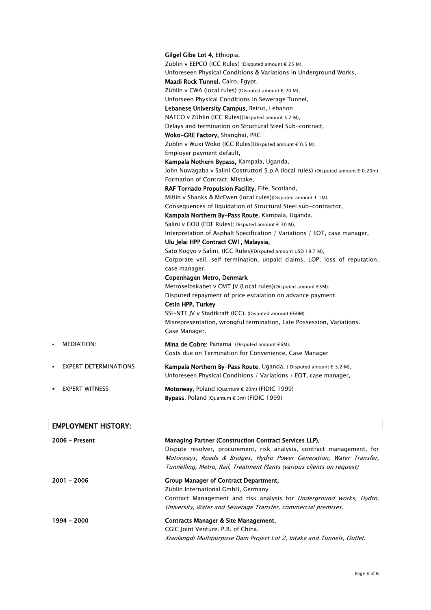|                |                              | Gilgel Gibe Lot 4, Ethiopia,<br>Züblin v EEPCO (ICC Rules) (Disputed amount € 25 M),                                                                    |
|----------------|------------------------------|---------------------------------------------------------------------------------------------------------------------------------------------------------|
|                |                              |                                                                                                                                                         |
|                |                              | Unforeseen Physical Conditions & Variations in Underground Works,<br><b>Maadi Rock Tunnel, Cairo, Egypt,</b>                                            |
|                |                              | Züblin v CWA (local rules) (Disputed amount € 20 M),                                                                                                    |
|                |                              |                                                                                                                                                         |
|                |                              | Unforseen Physical Conditions in Sewerage Tunnel,                                                                                                       |
|                |                              | Lebanese University Campus, Beirut, Lebanon                                                                                                             |
|                |                              | NAFCO v Züblin (ICC Rules)(Disputed amount \$ 2 M),                                                                                                     |
|                |                              | Delays and termination on Structural Steel Sub-contract,                                                                                                |
|                |                              | Woko-GRE Factory, Shanghai, PRC                                                                                                                         |
|                |                              | Züblin v Wuxi Woko (ICC Rules)(Disputed amount € 0.5 M),                                                                                                |
|                |                              | Employer payment default,                                                                                                                               |
|                |                              | Kampala Nothern Bypass, Kampala, Uganda,                                                                                                                |
|                |                              | John Nuwagaba v Salini Costruttori S.p.A (local rules) (Disputed amount € 0.20m)                                                                        |
|                |                              | Formation of Contract, Mistake,                                                                                                                         |
|                |                              | <b>RAF Tornado Propulsion Facility, Fife, Scotland,</b>                                                                                                 |
|                |                              | Miflin v Shanks & McEwen (local rules)(Disputed amount $E$ 1M),                                                                                         |
|                |                              | Consequences of liquidation of Structural Steel sub-contractor,                                                                                         |
|                |                              | Kampala Northern By-Pass Route, Kampala, Uganda,                                                                                                        |
|                |                              | Salini v GOU (EDF Rules) (Disputed amount € 30 M),                                                                                                      |
|                |                              | Interpretation of Asphalt Specification / Variations / EOT, case manager,                                                                               |
|                |                              | Ulu Jelai HPP Contract CW1, Malaysia,                                                                                                                   |
|                |                              | Sato Kogyo v Salini, (ICC Rules) (Disputed amount USD 19.7 M),                                                                                          |
|                |                              | Corporate veil, self termination, unpaid claims, LOP, loss of reputation,<br>case manager.                                                              |
|                |                              | Copenhagen Metro, Denmark                                                                                                                               |
|                |                              | Metroselbskabet v CMT JV (Local rules)(Disputed amount €5M).                                                                                            |
|                |                              | Disputed repayment of price escalation on advance payment.                                                                                              |
|                |                              | Cetin HPP, Turkey                                                                                                                                       |
|                |                              | SSI-NTF JV v Stadtkraft (ICC). (Disputed amount €60M).                                                                                                  |
|                |                              | Misrepresentation, wrongful termination, Late Possession, Variations.                                                                                   |
|                |                              | Case Manager.                                                                                                                                           |
| $\blacksquare$ | <b>MEDIATION:</b>            | <b>Mina de Cobre:</b> Panama (Disputed amount $\epsilon$ 6M).                                                                                           |
|                |                              | Costs due on Termination for Convenience, Case Manager                                                                                                  |
|                |                              |                                                                                                                                                         |
| ٠              | <b>EXPERT DETERMINATIONS</b> | <b>Kampala Northern By-Pass Route</b> , Uganda, (Disputed amount $\epsilon$ 3.2 M),<br>Unforeseen Physical Conditions / Variations / EOT, case manager, |
| ٠              | <b>EXPERT WITNESS</b>        | Motorway, Poland (Quantum $\epsilon$ 20m) (FIDIC 1999)                                                                                                  |
|                |                              | <b>Bypass</b> , Poland (Quantum $\epsilon$ 3m) (FIDIC 1999)                                                                                             |
|                |                              |                                                                                                                                                         |

| <b>EMPLOYMENT HISTORY:</b> |                                                                                                                                                                                                                                                                                   |
|----------------------------|-----------------------------------------------------------------------------------------------------------------------------------------------------------------------------------------------------------------------------------------------------------------------------------|
| $2006$ – Present           | Managing Partner (Construction Contract Services LLP),<br>Dispute resolver, procurement, risk analysis, contract management, for<br>Motorways, Roads & Bridges, Hydro Power Generation, Water Transfer,<br>Tunnelling, Metro, Rail, Treatment Plants (various clients on request) |
| $2001 - 2006$              | Group Manager of Contract Department.<br>Züblin International GmbH, Germany<br>Contract Management and risk analysis for <i>Underground works, Hydro,</i><br>University, Water and Sewerage Transfer, commercial premises.                                                        |
| 1994 - 2000                | Contracts Manager & Site Management.<br>CGIC Joint Venture. P.R. of China.<br>Xiaolangdi Multipurpose Dam Project Lot 2, Intake and Tunnels, Outlet.                                                                                                                              |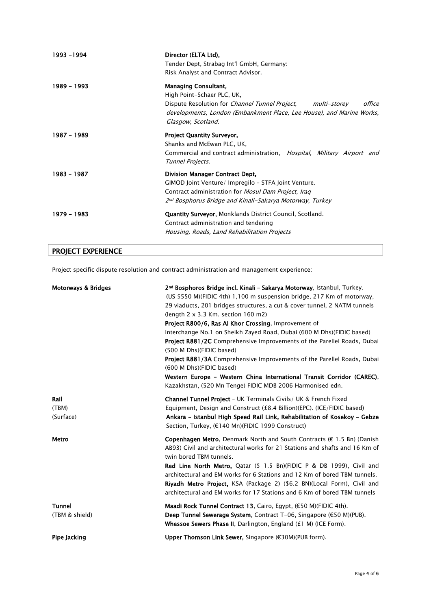| 1993 - 1994 | Director (ELTA Ltd),<br>Tender Dept, Strabag Int'l GmbH, Germany:<br>Risk Analyst and Contract Advisor.                                                                                                                                      |
|-------------|----------------------------------------------------------------------------------------------------------------------------------------------------------------------------------------------------------------------------------------------|
| 1989 - 1993 | <b>Managing Consultant,</b><br>High Point-Schaer PLC, UK,<br>Dispute Resolution for <i>Channel Tunnel Project</i> ,<br>office<br>multi-storev<br>developments, London (Embankment Place, Lee House), and Marine Works,<br>Glasgow, Scotland. |
| 1987 - 1989 | <b>Project Quantity Surveyor,</b><br>Shanks and McEwan PLC, UK,<br>Commercial and contract administration, <i>Hospital, Military Airport and</i><br>Tunnel Projects.                                                                         |
| 1983 - 1987 | <b>Division Manager Contract Dept,</b><br>GIMOD Joint Venture/ Impregilo - STFA Joint Venture.<br>Contract administration for <i>Mosul Dam Project, Iraq</i><br>2nd Bosphorus Bridge and Kinali-Sakarya Motorway, Turkey                     |
| 1979 - 1983 | <b>Quantity Surveyor, Monklands District Council, Scotland.</b><br>Contract administration and tendering<br>Housing, Roads, Land Rehabilitation Projects                                                                                     |

# PROJECT EXPERIENCE

Project specific dispute resolution and contract administration and management experience:

| <b>Motorways &amp; Bridges</b>  | 2 <sup>nd</sup> Bosphoros Bridge incl. Kinali - Sakarya Motorway, Istanbul, Turkey.<br>(US \$550 M)(FIDIC 4th) 1,100 m suspension bridge, 217 Km of motorway,<br>29 viaducts, 201 bridges structures, a cut & cover tunnel, 2 NATM tunnels<br>(length $2 \times 3.3$ Km. section $160$ m2)<br>Project R800/6, Ras Al Khor Crossing, Improvement of<br>Interchange No.1 on Sheikh Zayed Road, Dubai (600 M Dhs)(FIDIC based)<br><b>Project R881/2C</b> Comprehensive Improvements of the Parellel Roads, Dubai<br>(500 M Dhs)(FIDIC based)<br>Project R881/3A Comprehensive Improvements of the Parellel Roads, Dubai<br>(600 M Dhs)(FIDIC based)<br>Western Europe - Western China International Transit Corridor (CAREC),<br>Kazakhstan, (520 Mn Tenge) FIDIC MDB 2006 Harmonised edn. |
|---------------------------------|-----------------------------------------------------------------------------------------------------------------------------------------------------------------------------------------------------------------------------------------------------------------------------------------------------------------------------------------------------------------------------------------------------------------------------------------------------------------------------------------------------------------------------------------------------------------------------------------------------------------------------------------------------------------------------------------------------------------------------------------------------------------------------------------|
| Rail<br>(TBM)<br>(Surface)      | <b>Channel Tunnel Project</b> - UK Terminals Civils / UK & French Fixed<br>Equipment, Design and Construct (£8.4 Billion)(EPC). (ICE/FIDIC based)<br>Ankara - Istanbul High Speed Rail Link, Rehabilitation of Kosekoy - Gebze<br>Section, Turkey, (€140 Mn)(FIDIC 1999 Construct)                                                                                                                                                                                                                                                                                                                                                                                                                                                                                                      |
| Metro                           | <b>Copenhagen Metro, Denmark North and South Contracts (<math>\epsilon</math> 1.5 Bn) (Danish</b><br>AB93) Civil and architectural works for 21 Stations and shafts and 16 Km of<br>twin bored TBM tunnels.<br><b>Red Line North Metro, Qatar (\$ 1.5 Bn)(FIDIC P &amp; DB 1999), Civil and</b><br>architectural and EM works for 6 Stations and 12 Km of bored TBM tunnels.<br>Riyadh Metro Project, KSA (Package 2) (\$6.2 BN)(Local Form), Civil and<br>architectural and EM works for 17 Stations and 6 Km of bored TBM tunnels                                                                                                                                                                                                                                                     |
| <b>Tunnel</b><br>(TBM & shield) | Maadi Rock Tunnel Contract 13, Cairo, Egypt, (€50 M)(FIDIC 4th).<br>Deep Tunnel Sewerage System, Contract T-06, Singapore (€50 M)(PUB).<br><b>Whessoe Sewers Phase II, Darlington, England (£1 M) (ICE Form).</b>                                                                                                                                                                                                                                                                                                                                                                                                                                                                                                                                                                       |
| Pipe Jacking                    | Upper Thomson Link Sewer, Singapore (€30M)(PUB form).                                                                                                                                                                                                                                                                                                                                                                                                                                                                                                                                                                                                                                                                                                                                   |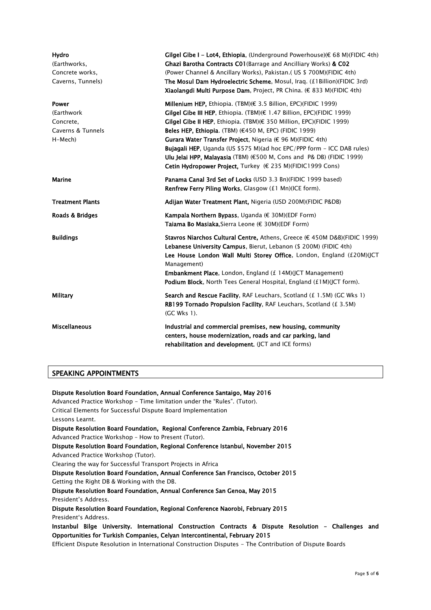| Hydro<br>(Earthworks,<br>Concrete works,<br>Caverns, Tunnels)            | Gilgel Gibe I - Lot4, Ethiopia, (Underground Powerhouse)(€ 68 M)(FIDIC 4th)<br>Ghazi Barotha Contracts C01 (Barrage and Ancilliary Works) & C02<br>(Power Channel & Ancillary Works), Pakistan.( US \$ 700M)(FIDIC 4th)<br>The Mosul Dam Hydroelectric Scheme, Mosul, Iraq. (£1Billion)(FIDIC 3rd)<br>Xiaolangdi Multi Purpose Dam, Project, PR China. (€ 833 M)(FIDIC 4th)                                                                                                                                                                                                                                       |
|--------------------------------------------------------------------------|-------------------------------------------------------------------------------------------------------------------------------------------------------------------------------------------------------------------------------------------------------------------------------------------------------------------------------------------------------------------------------------------------------------------------------------------------------------------------------------------------------------------------------------------------------------------------------------------------------------------|
| <b>Power</b><br>(Earthwork)<br>Concrete,<br>Caverns & Tunnels<br>H-Mech) | Millenium HEP, Ethiopia. (TBM) (€ 3.5 Billion, EPC) (FIDIC 1999)<br><b>Gilgel Gibe III HEP, Ethiopia.</b> (TBM) $(\epsilon$ 1.47 Billion, EPC)(FIDIC 1999)<br><b>Gilgel Gibe II HEP, Ethiopia. (TBM) <math>∈</math> 350 Million, EPC) (FIDIC 1999)</b><br>Beles HEP, Ethiopia. (TBM) $(€450$ M, EPC) (FIDIC 1999)<br>Gurara Water Transfer Project, Nigeria ( $\epsilon$ 96 M)(FIDIC 4th)<br>Buiagali HEP, Uganda (US \$575 M) (ad hoc EPC/PPP form - ICC DAB rules)<br><b>Ulu Jelai HPP, Malayasia</b> (TBM) (€500 M, Cons and P& DB) (FIDIC 1999)<br>Cetin Hydropower Project, Turkey (€ 235 M)(FIDIC1999 Cons) |
| Marine                                                                   | Panama Canal 3rd Set of Locks (USD 3.3 Bn)(FIDIC 1999 based)<br>Renfrew Ferry Piling Works, Glasgow (£1 Mn)(ICE form).                                                                                                                                                                                                                                                                                                                                                                                                                                                                                            |
| <b>Treatment Plants</b>                                                  | Adijan Water Treatment Plant, Nigeria (USD 200M)(FIDIC P&DB)                                                                                                                                                                                                                                                                                                                                                                                                                                                                                                                                                      |
| Roads & Bridges                                                          | Kampala Northern Bypass, Uganda $(E$ 30M)(EDF Form)<br>Taiama Bo Masiaka, Sierra Leone (€ 30M) (EDF Form)                                                                                                                                                                                                                                                                                                                                                                                                                                                                                                         |
| <b>Buildings</b>                                                         | Stavros Niarchos Cultural Centre, Athens, Greece (€ 450M D&B)(FIDIC 1999)<br>Lebanese University Campus, Bierut, Lebanon (\$ 200M) (FIDIC 4th)<br>Lee House London Wall Multi Storey Office, London, England (£20M)(JCT<br>Management)<br><b>Embankment Place, London, England (£ 14M) (JCT Management)</b><br>Podium Block, North Tees General Hospital, England (£1M)(JCT form).                                                                                                                                                                                                                                |
| Military                                                                 | Search and Rescue Facility, RAF Leuchars, Scotland (£ 1.5M) (GC Wks 1)<br>RB199 Tornado Propulsion Facility, RAF Leuchars, Scotland (£ 3.5M)<br>(GC Wks 1).                                                                                                                                                                                                                                                                                                                                                                                                                                                       |
| <b>Miscellaneous</b>                                                     | Industrial and commercial premises, new housing, community<br>centers, house modernization, roads and car parking, land<br>rehabilitation and development. (JCT and ICE forms)                                                                                                                                                                                                                                                                                                                                                                                                                                    |

#### SPEAKING APPOINTMENTS

Dispute Resolution Board Foundation, Annual Conference Santaigo, May 2016 Advanced Practice Workshop - Time limitation under the "Rules". (Tutor). Critical Elements for Successful Dispute Board Implementation Lessons Learnt. Dispute Resolution Board Foundation, Regional Conference Zambia, February 2016 Advanced Practice Workshop – How to Present (Tutor). Dispute Resolution Board Foundation, Regional Conference Istanbul, November 2015 Advanced Practice Workshop (Tutor). Clearing the way for Successful Transport Projects in Africa Dispute Resolution Board Foundation, Annual Conference San Francisco, October 2015 Getting the Right DB & Working with the DB. Dispute Resolution Board Foundation, Annual Conference San Genoa, May 2015 President's Address. Dispute Resolution Board Foundation, Regional Conference Naorobi, February 2015 President's Address. Instanbul Bilge University. International Construction Contracts & Dispute Resolution – Challenges and Opportunities for Turkish Companies, Celyan Intercontinental, February 2015 Efficient Dispute Resolution in International Construction Disputes - The Contribution of Dispute Boards